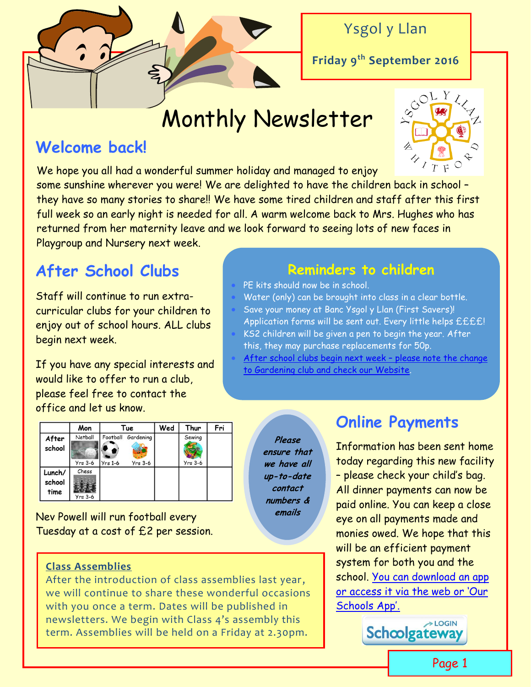

Ysgol y Llan

**Friday 9th September 2016**

# Monthly Newsletter

# **Welcome back!**

We hope you all had a wonderful summer holiday and managed to enjoy some sunshine wherever you were! We are delighted to have the children back in school they have so many stories to share!! We have some tired children and staff after this first full week so an early night is needed for all. A warm welcome back to Mrs. Hughes who has returned from her maternity leave and we look forward to seeing lots of new faces in

Playgroup and Nursery next week.

# **After School Clubs**

Staff will continue to run extracurricular clubs for your children to enjoy out of school hours. ALL clubs begin next week.

If you have any special interests and would like to offer to run a club, please feel free to contact the office and let us know.

|                          | Mon                  | Tue                   |                        | Wed | Thur                | Fri |
|--------------------------|----------------------|-----------------------|------------------------|-----|---------------------|-----|
| After<br>school          | Netball<br>$Yrs$ 3-6 | Football<br>$Yrs$ 1-6 | Gardening<br>$Yrs$ 3-6 |     | Sewing<br>$Yrs$ 3-6 |     |
| Lunch/<br>school<br>time | Chess<br>$Yrs$ 3-6   |                       |                        |     |                     |     |

Nev Powell will run football every Tuesday at a cost of £2 per session.

### **Class Assemblies**

After the introduction of class assemblies last year, we will continue to share these wonderful occasions with you once a term. Dates will be published in newsletters. We begin with Class 4's assembly this term. Assemblies will be held on a Friday at 2.30pm.

## **Reminders to children**

- PE kits should now be in school.
- Water (only) can be brought into class in a clear bottle.
- Save your money at Banc Ysgol y Llan (First Savers)!
- Application forms will be sent out. Every little helps ££££! KS2 children will be given a pen to begin the year. After
- **Wowwwww!** this, they may purchase replacements for 50p.
- [After school clubs begin next week](http://www.ysgolyllan.co.uk/after-school-clubs.html) please note the change [to Gardening club and check our Website.](http://www.ysgolyllan.co.uk/after-school-clubs.html)

**Please ensure that we have all up-to-date contact numbers & emails**

# **Online Payments**

Information has been sent home today regarding this new facility – please check your child's bag. All dinner payments can now be paid online. You can keep a close eye on all payments made and monies owed. We hope that this will be an efficient payment system for both you and the school. [You can download an app](https://login.schoolgateway.com/0/auth/login)  [or access it via the web or 'Our](https://login.schoolgateway.com/0/auth/login)  [Schools App'.](https://login.schoolgateway.com/0/auth/login)

>LOGIN Schoolgateway